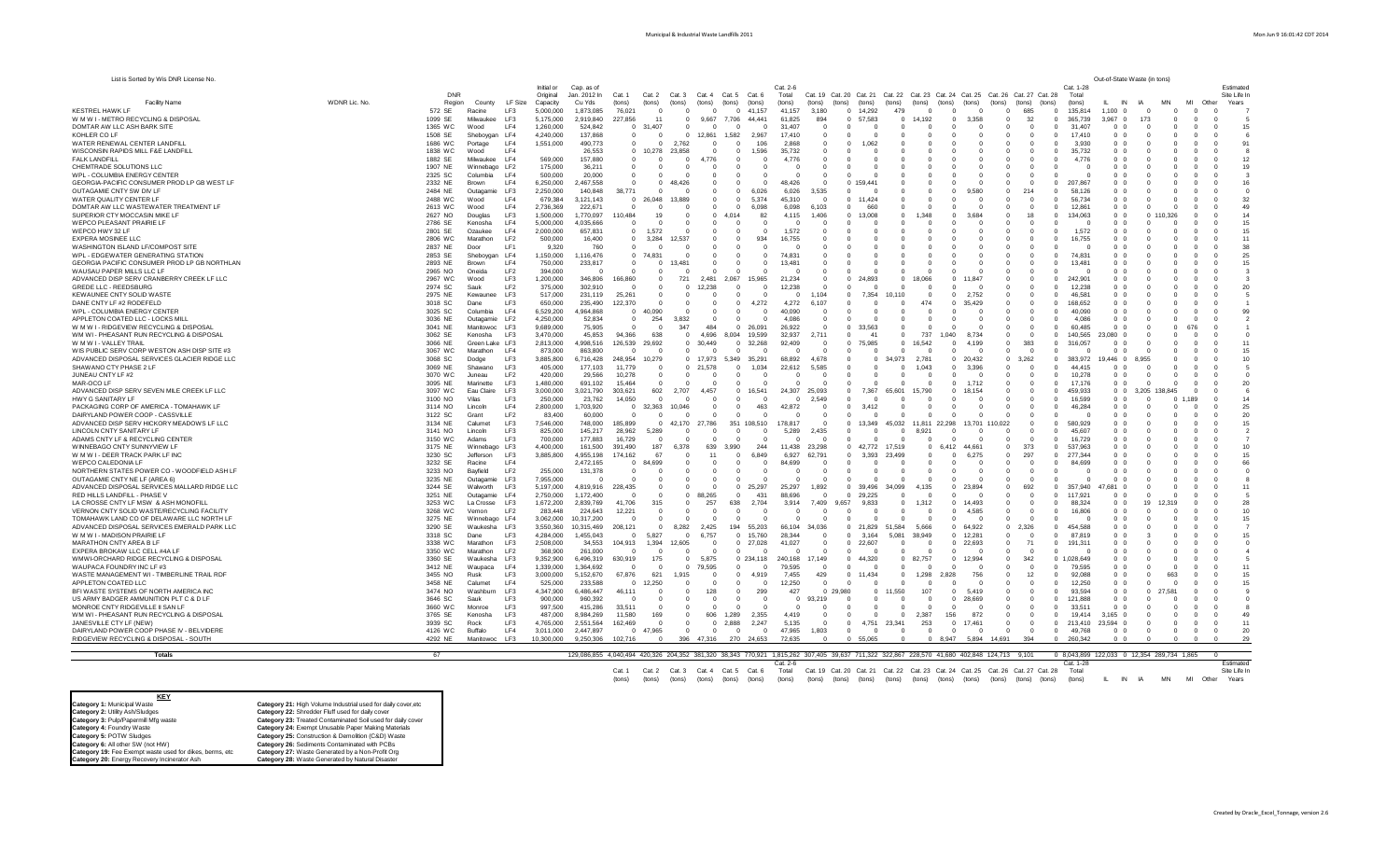| List is Sorted by Wis DNR License No.                                               |               |                    |                                                |                         |                                |                              |                      |                                   |                            |                                                 |                      |                          |                                              |                      |                                                                                 |                                      |                        |                                      |                     | Out-of-State Waste (in tons)     |                         |                      |                                  |                      |
|-------------------------------------------------------------------------------------|---------------|--------------------|------------------------------------------------|-------------------------|--------------------------------|------------------------------|----------------------|-----------------------------------|----------------------------|-------------------------------------------------|----------------------|--------------------------|----------------------------------------------|----------------------|---------------------------------------------------------------------------------|--------------------------------------|------------------------|--------------------------------------|---------------------|----------------------------------|-------------------------|----------------------|----------------------------------|----------------------|
|                                                                                     |               |                    |                                                | Initial or              | Cap. as of                     |                              |                      |                                   |                            |                                                 | Cat. 2-6             |                          |                                              |                      |                                                                                 |                                      |                        |                                      | Cat. 1-28           |                                  |                         |                      |                                  | Estimated            |
|                                                                                     |               | DNF                |                                                | Original                | Jan. 2012 In                   | Cat. 1                       | Cat. 3<br>Cat. 2     | Cat. 4                            |                            | Cat. 5 Cat. 6                                   | Total                |                          |                                              |                      | Cat. 19 Cat. 20 Cat. 21 Cat. 22 Cat. 23 Cat. 24 Cat. 25 Cat. 26 Cat. 27 Cat. 28 |                                      |                        |                                      | Total               |                                  |                         |                      |                                  | Site Life In         |
| <b>Facility Name</b>                                                                | WDNR Lic. No. | Region             | County<br>LF Size                              | Capacity                | Cu Yds                         | (tons)                       | (tons)<br>(tons)     | (tons)                            | (tons)                     | (tons)                                          | (tons)               | (tons)                   | (tons)<br>(tons)                             | (tons)               | (tons)<br>(tons)                                                                | (tons)                               |                        | (tons)                               | (tons)              | IN                               |                         | MAN                  | MI<br>Other                      | Years                |
| <b>KESTREL HAWK LF</b><br>W M W I - METRO RECYCLING & DISPOSAL                      |               | 572 SE             | Racine<br>LF3<br>Milwaukee                     | 5.000.000               | 1.873.085                      | 76.021                       | - 0<br>11            | $\Omega$                          |                            | $0$ 41.157                                      | 41.157               | 3.180                    | $\overline{0}$<br>14,292<br>0 57.583         | 479                  | $\Omega$<br>- 0                                                                 |                                      | $^{\circ}$             | 685<br>$\Omega$                      | 135,814<br>365.739  | 1.100<br>3.967                   |                         | $\Omega$             | $\Omega$<br>$\Omega$             | $\Omega$             |
|                                                                                     |               | 1099 SE            | LF3                                            | 5,175,000               | 2,919,840                      | 227,856                      |                      | 0<br>$\Omega$                     | $\Omega$<br>$\Omega$       | 9,667 7,706 44,441                              | 61,825               | 894                      | $\Omega$<br>$\Omega$                         | $\Omega$<br>$\Omega$ | 14,192<br>- 0<br>$\Omega$                                                       | 3.358                                | $^{\circ}$<br>$\Omega$ | 32<br>$\Omega$<br>$\Omega$           |                     | - 0<br>0 <sub>0</sub>            | 173                     | - 0                  | $\Omega$                         | $\Omega$<br>$\Omega$ |
| DOMTAR AW LLC ASH BARK SITE<br>KOHLER CO LF                                         |               | 1365 WC<br>1508 SE | LF4<br>Wood<br>Sheboygan LF4                   | 1,260,000<br>4,240,000  | 524,842<br>137,868             | $0$ 31,407<br>$\overline{0}$ | $\Omega$             | $\overline{0}$<br>12.861          | 1,582                      | $\overline{0}$<br>2,967                         | 31,407<br>17,410     | $^{\circ}$<br>$^{\circ}$ | $\Omega$<br>$^{\circ}$                       |                      | $\Omega$                                                                        |                                      | $^{\circ}$             | $\Omega$<br>$^{\circ}$<br>$^{\circ}$ | 31,407<br>17,410    | 0 <sub>0</sub>                   |                         |                      |                                  | 15<br>$^{\circ}$     |
| WATER RENEWAL CENTER LANDFILL                                                       |               | 1686 WC            | LF4<br>Portage                                 | 1,551,000               | 490,773                        |                              | $\Omega$             | 2.762                             |                            | 106<br>$\Omega$                                 | 2.868                | $\Omega$                 | $\Omega$<br>1.062                            |                      |                                                                                 |                                      |                        |                                      | 3.930               | 0 <sub>0</sub>                   |                         |                      |                                  | 91                   |
| WISCONSIN RAPIDS MILL F&E LANDFILL                                                  |               | 1838 WC            | LF4<br>Wood                                    |                         | 26.553                         | $\Omega$                     | 10.278<br>23.858     |                                   | $\Omega$                   | $\Omega$<br>1,596                               | 35,732               | $\Omega$                 |                                              |                      |                                                                                 |                                      |                        |                                      | 35,732              | 0 <sub>0</sub>                   |                         |                      |                                  |                      |
| <b>FALK LANDFILL</b>                                                                |               | 1882 SE            | LF4<br>Milwaukee                               | 569,000                 | 157,880                        |                              |                      | $\Omega$<br>4.776                 |                            | $\Omega$<br>$\Omega$                            | 4.776                | $\Omega$                 |                                              |                      |                                                                                 |                                      |                        |                                      | 4,776               | 0 <sub>0</sub>                   |                         |                      |                                  | 12                   |
| CHEMTRADE SOLUTIONS LLC                                                             |               | 1907 NE            | Winnebago LF2                                  | 175,000                 | 36,211                         |                              |                      | $\Omega$                          |                            | $\Omega$<br>$\Omega$                            | $\Omega$             | n                        |                                              |                      |                                                                                 |                                      |                        |                                      | $\Omega$            | 0 Q                              |                         |                      |                                  | 19                   |
| WPL - COLUMBIA ENERGY CENTER                                                        |               | 2325 SC            | LF4<br>Columbia                                | 500,000                 | 20,000                         |                              |                      | - 0                               |                            | $\Omega$<br>$\Omega$                            | $\Omega$             | n                        | $\Omega$                                     |                      |                                                                                 |                                      |                        |                                      | $\Omega$            | റ റ                              |                         |                      |                                  |                      |
| GEORGIA-PACIFIC CONSUMER PROD LP GB WEST LF                                         |               | 2332 NE            | LF4<br><b>Brown</b>                            | 6,250,000               | 2,467,558                      |                              | $\Omega$             | 48.426                            |                            | $\Omega$<br>$\mathbf{0}$                        | 48,426               | $\Omega$                 | $\Omega$<br>159.441                          |                      |                                                                                 |                                      |                        | $\Omega$                             | 207,867             | റ റ                              |                         |                      |                                  | 16                   |
| OUTAGAMIE CNTY SW DIV LF                                                            |               | 2484 NE            | Outagamie<br>LF3                               | 2,250,000               | 140,848                        | 38,771                       |                      | $\Omega$                          | $\overline{0}$<br>$\Omega$ | 6,026                                           | 6,026                | 3,535                    | $\Omega$                                     |                      | $\Omega$                                                                        | .580                                 | $^{\circ}$             | 214<br>$\Omega$                      | 58,126              | 0 0                              |                         |                      |                                  | $\Omega$             |
| WATER QUALITY CENTER LF                                                             |               | 2488 WC            | LF4<br>Wood                                    | 679,384                 | 3,121,143                      | $\Omega$                     | 26.048               | 13.889                            | $\Omega$<br>$\Omega$       | 5.374                                           | 45,310               | $\Omega$                 | 11.424<br>$\Omega$                           |                      |                                                                                 |                                      |                        |                                      | 56.734              | 0 0                              |                         |                      |                                  | 32                   |
| DOMTAR AW LLC WASTEWATER TREATMENT LF                                               |               | 2613 WC            | LF4<br>Wood                                    | 2,736,369               | 222,671                        |                              |                      | $^{\circ}$                        | $\Omega$<br>$^{\circ}$     | 6,098                                           | 6,098                | 6.103                    | $\Omega$<br>660                              |                      | $\Omega$                                                                        |                                      | $\Omega$               | $\Omega$                             | 12,861              | 0 <sub>0</sub>                   |                         |                      |                                  | 49                   |
| SUPERIOR CTY MOCCASIN MIKE LF                                                       |               | 2627 NO            | Douglas<br>LF3                                 | 1,500,000               | 1,770,097                      | 110.484                      | 19                   | - 0                               | $\Omega$<br>4.014          | 82                                              | 4,115                | 1.406                    | $\Omega$<br>13.008                           | $\Omega$             | 1.348<br>$\Omega$                                                               | 3.684                                | $\Omega$               | 18<br>$\Omega$                       | 134,063             | 0 <sub>0</sub>                   | n 1                     | 0.326                |                                  | 14<br>n              |
| WEPCO PLEASANT PRAIRIE LF                                                           |               | 2786 SE            | Kenosha<br>LF4                                 | 5,000,000               | 4,035,666                      | $\Omega$                     | $\Omega$             | $\Omega$                          | $\Omega$<br>$\Omega$       | $\Omega$                                        | $\Omega$             | $\Omega$                 | $\Omega$<br>$\Omega$                         |                      | $\Omega$                                                                        |                                      | $\Omega$               | $\Omega$                             | $\Omega$            | 0 <sub>0</sub>                   |                         |                      |                                  | 15                   |
| WEPCO HWY 32 LF                                                                     |               | 2801 SE            | LF4<br>Ozaukee                                 | 2,000,000               | 657,831                        | $\Omega$                     | 1.572                | - 0                               | $\overline{0}$             | $\Omega$<br>$\Omega$                            | 1,572                | $\Omega$                 | $\Omega$<br>$\Omega$                         |                      |                                                                                 |                                      | $\Omega$               |                                      | 1,572               | 0 0                              |                         | $\Omega$             |                                  | 15<br>$\Omega$       |
| EXPERA MOSINEE LLC                                                                  |               | 2806 WC            | Marathon<br>LF <sub>2</sub>                    | 500,000                 | 16,400                         |                              | 3.284                | 12,537                            | $\Omega$                   | 934<br>$\Omega$                                 | 16,755               | $\Omega$                 | $\Omega$                                     |                      |                                                                                 |                                      | $\Omega$               |                                      | 16,755              | 0 <sub>0</sub>                   |                         |                      |                                  | 11                   |
| WASHINGTON ISLAND LF/COMPOST SITE                                                   |               | 2837 NE            | Door<br>LF1                                    | 9,320                   | 760                            |                              |                      | $\Omega$                          | $^{\circ}$                 | $^{\circ}$<br>$^{\circ}$                        | $^{\circ}$           |                          | $\Omega$                                     |                      |                                                                                 |                                      |                        |                                      | $\Omega$            | ი ი                              |                         |                      |                                  | 38                   |
| WPL - EDGEWATER GENERATING STATION                                                  |               | 2853 SE            | Sheboygan<br>LF4                               | 1,150,000               | 1,116,476                      | $\Omega$                     | 74.83                | $\Omega$                          | $\Omega$                   | $\Omega$<br>$\Omega$                            | 74,831               | $\Omega$                 | $\Omega$                                     |                      |                                                                                 |                                      |                        | $\Omega$                             | 74,831              | 0 <sub>0</sub>                   |                         |                      |                                  | 25                   |
| GEORGIA PACIFIC CONSUMER PROD LP GB NORTHLAN                                        |               | 2893 NE            | LF4<br><b>Brown</b>                            | 750,000                 | 233.817                        |                              |                      | 13.481                            | $\Omega$                   | $\Omega$<br>$\Omega$                            | 13.481               | $\Omega$                 | $\Omega$                                     |                      | $\Omega$                                                                        |                                      |                        |                                      | 13.481              | 0 Q                              |                         |                      |                                  | 15                   |
| WAUSAU PAPER MILLS LLC LF                                                           |               | 2965 NO            | LF <sub>2</sub><br>Oneida                      | 394,000                 | $\sqrt{2}$                     |                              |                      | - 0                               | $\Omega$                   | $\Omega$<br>$\Omega$                            | $\Omega$             | $\Omega$                 | $\Omega$<br>$\Omega$                         |                      |                                                                                 |                                      | $\Omega$               |                                      | $\Omega$            | 0 Q                              |                         |                      |                                  |                      |
| ADVANCED DISP SERV CRANBERRY CREEK LF LLC<br>GREDE LLC - REEDSBURG                  |               | 2967 WC            | LF3<br>Wood<br>LF <sub>2</sub>                 | 1,200,000               | 346,806                        | 166,860                      |                      | 721<br>2.481<br>12.238            | 2,067                      | 15,965<br>$\Omega$<br>$\Omega$                  | 21,234               | $\Omega$<br>$\Omega$     | $\Omega$<br>24.893<br>$\Omega$<br>$\Omega$   | $\Omega$<br>$\Omega$ | 8.066<br>$\Omega$<br>$\Omega$<br>$\Omega$                                       | 1.847                                |                        |                                      | 242,901<br>12.238   | 0 Q<br>0 Q                       |                         |                      |                                  | 20                   |
| KEWAUNEE CNTY SOLID WASTE                                                           |               | 2974 SC<br>2975 NE | Sauk<br>Kewaunee<br>LF3                        | 375,000<br>517,000      | 302,910<br>231,119             | 25,261                       |                      |                                   |                            | $\Omega$<br>$\Omega$                            | 12,238<br>$\Omega$   | 1,104                    | 7,354<br>$\Omega$                            |                      | $\Omega$                                                                        | 2,752                                |                        |                                      | 46.581              | 0 0                              |                         |                      |                                  |                      |
| DANE CNTY LF #2 RODEFELD                                                            |               | 3018 SC            | LF3<br>Dane                                    | 650,000                 | 235,490                        | 122.370                      |                      |                                   | $\Omega$                   | 4.272<br>$\Omega$                               | 4,272                | 6.107                    | $\Omega$                                     |                      | 474<br>$\Omega$                                                                 | 35.429                               |                        |                                      | 168.652             | 0 <sub>0</sub>                   |                         |                      |                                  |                      |
| WPL - COLUMBIA ENERGY CENTER                                                        |               | 3025 SC            | Columbia<br>LF4                                | 6,529,200               | 4,964,868                      | $\Omega$                     | 40.090               | $\Omega$                          | $\Omega$                   | $\Omega$<br>$\Omega$                            | 40.090               | $\Omega$                 | $\Omega$<br>$\Omega$                         | $\Omega$             | $\Omega$<br>$\Omega$                                                            |                                      | $\Omega$               |                                      | 40.090              | 0 <sub>0</sub>                   |                         |                      |                                  | $\Omega$             |
| APPLETON COATED LLC - LOCKS MILL                                                    |               | 3036 NE            | Outagamie LF2                                  | 4,250,000               | 52,834                         | $^{\circ}$                   | 254                  | 3,832                             | $\overline{0}$             | $\overline{0}$<br>$\overline{0}$                | 4,086                | $\Omega$                 | $\Omega$<br>$\Omega$                         | $\Omega$             | $\Omega$<br>$\overline{\mathbf{0}}$                                             |                                      | $\Omega$               |                                      | 4,086               | 0 0                              |                         |                      |                                  | $\Omega$             |
| W M W I - RIDGEVIEW RECYCLING & DISPOSAL                                            |               | 3041 NF            | Manitowoc LE3                                  | 9,689,000               | 75,905                         | n                            | $\Omega$             | 347<br>484                        |                            | 0 26,091                                        | 26,922               | $\Omega$                 | 0, 33.563                                    |                      | $\Omega$<br>$\sqrt{2}$                                                          |                                      | $\Omega$               |                                      | 60.485              | 0 Q                              |                         |                      |                                  |                      |
| WM WI - PHEASANT RUN RECYCLING & DISPOSAL                                           |               | 3062 SE            | LF3<br>Kenosha                                 | 3,470,000               | 45,853                         | 94,366                       | 638                  | $\Omega$<br>4.696                 | 8,004                      | 19,599                                          | 32,937               | 2,711                    | $\Omega$<br>41                               | $\Omega$             | 737<br>1,040                                                                    | 8,734                                | $\Omega$               | - 0                                  | 140,565             | 23,080 0                         |                         |                      |                                  |                      |
| W M W I - VALLEY TRAIL                                                              |               | 3066 NE            | Green Lake LF3                                 | 2,813,000               | 4,998,516                      | 126,539                      | 29,692               | 30,449<br>$\mathbf{0}$            |                            | 32,268<br>$\circ$                               | 92,409               | $^{\circ}$               | 75,985<br>$^{\circ}$                         | $\mathbf{0}$         | 16,542<br>$\overline{0}$                                                        | 4,199                                | $^{\circ}$             | 383                                  | 316.057             | 0 0                              |                         |                      |                                  |                      |
| WIS PUBLIC SERV CORP WESTON ASH DISP SITE #3                                        |               | 3067 WC            | LF4<br>Marathon                                | 873,000                 | 863,800                        |                              |                      |                                   | $\Omega$                   | $^{\circ}$<br>$\mathbf 0$                       | $\overline{0}$       | $\circ$                  |                                              |                      | $\overline{0}$                                                                  |                                      |                        |                                      | $\Omega$            | $\Omega$                         |                         |                      |                                  |                      |
| ADVANCED DISPOSAL SERVICES GLACIER RIDGE LLC                                        |               | 3068 SC            | LF3<br>Dodge                                   | 3,885,800               | 6,716,428                      | 248,954                      | 10,279               | $\Omega$<br>17,973                |                            | 5,349 35,291                                    | 68,892               | 4.678                    | $\Omega$<br>$\Omega$                         | 34.973               | 2,781<br>$\overline{0}$                                                         | 20,432                               | $\Omega$               | 3.262                                | 383,972             | 19.446<br>$\Omega$               |                         |                      |                                  |                      |
| SHAWANO CTY PHASE 2 LF                                                              |               | 3069 NE            | LF3<br>Shawano                                 | 405,000                 | 177,103                        | 11.779                       | $\Omega$             | $\Omega$<br>21.578                | $\Omega$                   | 1,034                                           | 22,612               | 5.585                    | $\Omega$<br>$\Omega$                         | $\Omega$             | 1.043<br>$\Omega$                                                               | 3.396                                | $\Omega$               |                                      | 44.415              | $\Omega$                         |                         |                      |                                  |                      |
| JUNEAU CNTY LF #2<br>MAR-OCO LF                                                     |               | 3070 WC            | LF <sub>2</sub><br>Juneau<br>LF3<br>Marinette  | 420,000                 | 29,566<br>691.102              | 10,278<br>15.464             | $\Omega$<br>$\Omega$ | $\Omega$<br>$\Omega$              | $\Omega$                   | $\Omega$<br>$\Omega$<br>$\Omega$<br>$\Omega$    | $\Omega$<br>$\Omega$ | $\Omega$<br>$\Omega$     | $\Omega$<br>$\Omega$<br>$\Omega$<br>$\Omega$ | $\Omega$<br>$\Omega$ | $\Omega$<br>$\Omega$                                                            | 1.712                                |                        |                                      | 10,278<br>17.176    | 0 0<br>0 <sub>0</sub>            |                         | $\Omega$             |                                  | 20                   |
| ADVANCED DISP SERV SEVEN MILE CREEK LF LLC                                          |               | 3095 NE<br>3097 WC | LF3<br>Eau Claire                              | 1,480,000<br>3,000,000  | 3,021,790                      | 303,621                      | 602                  | 2.707<br>4.457                    |                            | 16,541<br>$\overline{0}$                        | 24,307               | 25,093                   | 7.367<br>$\Omega$                            | 65,601               | $\mathbf{0}$<br>15.790<br>$\Omega$                                              | 18.154                               |                        |                                      | 459.933             |                                  | $0 \quad 0 \quad 3.205$ | 138 845              |                                  |                      |
| HWY G SANITARY LF                                                                   |               | 3100 NO            | LF3<br>Vilas                                   | 250,000                 | 23,762                         | 14,050                       | $\Omega$             | $\Omega$                          | $^{\circ}$<br>$^{\circ}$   | $\Omega$                                        | $^{\circ}$           | 2,549                    | $\Omega$<br>$\Omega$                         | $\Omega$             | $\Omega$<br>$\Omega$                                                            |                                      |                        |                                      | 16,599              | 0 0                              |                         |                      |                                  | 14                   |
| PACKAGING CORP OF AMERICA - TOMAHAWK LF                                             |               | 3114 NO            | LF4<br>Lincoln                                 | 2,800,000               | 1,703,920                      | $\overline{0}$               | 32,363<br>10,046     |                                   | $\overline{0}$             | $\overline{0}$<br>463                           | 42,872               | $^{\circ}$               | $\circ$<br>3,412                             | $^{\circ}$           | $\overline{0}$<br>$\overline{0}$                                                |                                      | $^{\circ}$             |                                      | 46,284              | 0 <sub>0</sub>                   |                         |                      |                                  | 25                   |
| DAIRYLAND POWER COOP - CASSVILLE                                                    |               | 3122 SC            | Grant<br>LF <sub>2</sub>                       | 83,400                  | 60,000                         | $\Omega$                     | $\Omega$             | $\Omega$                          | $\Omega$<br>$\Omega$       | $\Omega$                                        | $\Omega$             | $\Omega$                 | $\Omega$<br>$\Omega$                         | $\Omega$             | $\Omega$<br>$\Omega$                                                            |                                      | $\Omega$               | $\Omega$                             | $\Omega$            | 0 <sub>0</sub>                   |                         |                      |                                  | 20<br>$\Omega$       |
| ADVANCED DISP SERV HICKORY MEADOWS LF LLC                                           |               | 3134 NE            | LF3<br>Calumet                                 | 7,546,000               | 748,000                        | 185,899                      | $\Omega$             | 42.170 27.786                     |                            | 351 108,510                                     | 178,817              | $\Omega$                 | 13.349<br>$\Omega$                           |                      | 45.032 11.811 22.298                                                            | 13.701 110.022                       |                        | n<br>- 0                             | 580.929             | 0 0                              |                         | <sup>n</sup>         |                                  | 15<br>n              |
| LINCOLN CNTY SANITARY LF                                                            |               | 3141 NO            | LF3<br>Lincoln                                 | 825,000                 | 145,217                        | 28,962                       | 5,289                | $\Omega$                          | $\Omega$<br>$\Omega$       | $\Omega$                                        | 5,289                | 2.435                    | $\Omega$                                     | $\Omega$             | 8.921                                                                           |                                      | $\Omega$               | $\Omega$                             | 45,607              | റ റ                              |                         | $\Omega$             |                                  |                      |
| ADAMS CNTY LF & RECYCLING CENTER                                                    |               | 3150 WC            | LF3<br>Adams                                   | 700,000                 | 177,883                        | 16,729                       | $\Omega$             | - 0                               | $\Omega$                   | $\Omega$<br>$\overline{0}$                      | $\Omega$             | $\Omega$                 | $\Omega$<br>$\Omega$                         | $\Omega$             | $\Omega$<br>$\Omega$                                                            |                                      | $^{\circ}$             |                                      | 16,729              | 0 <sub>0</sub>                   |                         | $\Omega$             |                                  |                      |
| WINNEBAGO CNTY SUNNYVIEW LF                                                         |               | 3175 NE            | Winnebago LF3                                  | 4,400,000               | 161,500                        | 391,490                      | 187                  | 639<br>6.378                      | 3,990                      | 244                                             | 11,438               | 23,298                   | 42,772<br>$\Omega$                           | 17,519               | 6.412<br>$\Omega$                                                               | 44.661                               | $\Omega$               | 373                                  | 537,963             | 0 <sub>0</sub>                   |                         |                      |                                  | 10                   |
| W M W I - DEER TRACK PARK LF INC                                                    |               | 3230 SC            | Jefferson<br><b>LE3</b>                        | 3,885,800               | 4,955,198                      | 174,162                      | 67                   |                                   |                            | 6.849<br>$\Omega$                               | 6.927                | 62,791                   | $\Omega$<br>3.393                            | 23.499               |                                                                                 | 6.275                                |                        | 297                                  | 277.344             | 0 <sub>0</sub>                   |                         |                      |                                  | 15                   |
| WEPCO CALEDONIA LF<br>NORTHERN STATES POWER CO - WOODFIELD ASH LF                   |               | 3232 SE<br>3233 NO | Racine<br>LF4<br>Bayfield<br>LF <sub>2</sub>   | 255,000                 | 2,472,165<br>131,378           | $\Omega$                     | 84,699               |                                   | $\Omega$<br>$\Omega$       | $\Omega$<br>$\Omega$<br>$\mathbf 0$<br>$\Omega$ | 84,699<br>$\Omega$   | $\Omega$<br>$\Omega$     | $\Omega$<br>$\Omega$<br>$\Omega$<br>$\Omega$ | $\Omega$<br>$\Omega$ | $\Omega$<br>$\Omega$<br>$\Omega$<br>$\Omega$                                    |                                      |                        |                                      | 84.699<br>$\Omega$  | 0 <sub>0</sub><br>0 <sub>0</sub> |                         |                      |                                  |                      |
| OUTAGAMIE CNTY NE LF (AREA 6)                                                       |               | 3235 NE            | Outagamie LF3                                  | 7.955.000               |                                |                              | $\sqrt{2}$           |                                   | $\Omega$                   | $\Omega$<br>$\Omega$                            | $\Omega$             | $\Omega$                 | $\sqrt{2}$<br>$\Omega$                       |                      | $\sqrt{ }$<br>$\Omega$                                                          |                                      |                        |                                      | $\bigcap$           | $^{\circ}$                       |                         |                      |                                  |                      |
| ADVANCED DISPOSAL SERVICES MALLARD RIDGE LLC                                        |               | 3244 SF            | LF3<br>Walworth                                | 5,197,000               | 4,819,916                      | 228.435                      |                      |                                   |                            | 25,297<br>$\Omega$                              | 25,297               | 1.892                    | $\Omega$<br>39.496                           | 34.099               | 4.135<br>$\sqrt{2}$                                                             | 23.894                               |                        | 692<br>$\Omega$                      | 357,940             | 47 681                           |                         |                      |                                  |                      |
| RED HILLS LANDFILL - PHASE V                                                        |               | 3251 NE            | Outagamie LF4                                  | 2,750,000               | 1,172,400                      |                              |                      | 88.265<br>$\Omega$                | $\Omega$                   | 431                                             | 88,696               | $\Omega$                 | $^{\circ}$<br>29,225                         | $\Omega$             | $\Omega$<br>$\Omega$                                                            |                                      |                        |                                      | 117.921             | റ റ                              |                         |                      |                                  |                      |
| LA CROSSE CNTY LF MSW & ASH MONOFILL                                                |               | 3253 WC            | La Crosse<br>LF3                               | 1,672,200               | 2.839.769                      | 41.706                       | 315                  | 257                               | 638                        | 2.704                                           | 3.914                | 7.409                    | 9.833<br>9.657                               | $\overline{0}$       | 1.312<br>$\overline{0}$                                                         | 14,493                               |                        |                                      | 88.324              | 0 <sub>0</sub>                   |                         |                      |                                  |                      |
| VERNON CNTY SOLID WASTE/RECYCLING FACILITY                                          |               | 3268 WC            | LF <sub>2</sub><br>Vernon                      | 283.448                 | 224.643                        | 12.221                       |                      |                                   | $^{\circ}$                 | $\Omega$<br>$\Omega$                            | $\Omega$             |                          | $\Omega$<br>$\Omega$                         |                      | $\Omega$                                                                        | 4.585                                |                        |                                      | 16,806              | 0 <sub>0</sub>                   |                         |                      |                                  |                      |
| TOMAHAWK LAND CO OF DELAWARE LLC NORTH LF                                           |               | 3275 NE            | Winnebago LF4                                  | 3,062,000               | 10,317,200                     |                              |                      |                                   | $\Omega$<br>$^{\circ}$     | $\Omega$                                        | $\Omega$             | $\Omega$                 | $\Omega$<br>$\Omega$                         |                      | $\Omega$                                                                        |                                      | $\Omega$               | $\Omega$                             |                     | 0 <sub>0</sub>                   |                         |                      |                                  |                      |
| ADVANCED DISPOSAL SERVICES EMERALD PARK LLC                                         |               | 3290 SE            | Waukesha LF3                                   | 3,550,360               | 10,315,469                     | 208.121                      |                      | 2.425<br>8.282                    |                            | 194 55,203                                      | 66.104               | 34.036                   | $0$ 21,829                                   | 51,584               | 5.666<br>$\Omega$                                                               | 64,922                               | $^{\circ}$             | 2.326<br>$\Omega$                    | 454.588             | 0 O                              |                         |                      |                                  |                      |
| W M W I - MADISON PRAIRIE LF                                                        |               | 3318 SC            | LF3<br>Dane                                    | 4,284,000               | 1,455,043                      | $\Omega$                     | 5.827                | 6.757<br>$\Omega$                 |                            | 15,760<br>$^{\circ}$                            | 28.344               | $\Omega$                 | 3.164<br>$\Omega$                            | 5.081                | 38,949<br>$\Omega$                                                              | 12.28'                               | $\Omega$               | $\Omega$                             | 87.819              | റ റ                              |                         |                      |                                  |                      |
| MARATHON CNTY AREA B LF                                                             |               | 3338 WC            | Marathon<br>LF3                                | 2,508,000               | 34,553                         | 104,913                      | 1.394                | 12,605                            | $^{\circ}$                 | $0$ 27,028                                      | 41,027               | $^{\circ}$               | $0$ 22,607                                   | $\Omega$             | $\overline{0}$                                                                  | 22,693                               | $^{\circ}$             | 71                                   | 191,311             | 0 O                              |                         |                      |                                  |                      |
| EXPERA BROKAW LLC CELL #4A LF                                                       |               | 3350 WC            | Marathon<br>LF <sub>2</sub><br>Waukesha<br>LF3 | 368,900                 | 261,000<br>6,496,319           |                              | 175                  | 5,875<br>$\overline{0}$           | $^{\circ}$                 | $\mathbf{0}$<br>$^{\circ}$                      | $^{\circ}$           | $^{\circ}$<br>17,149     | $\Omega$<br>$^{\circ}$<br>$^{\circ}$         | $^{\circ}$           | $\Omega$<br>$^{\circ}$<br>82,757<br>$\overline{0}$                              | 12,994                               | $^{\circ}$             | 342                                  | 1,028,649           | 0 O<br>0 <sub>0</sub>            |                         |                      |                                  |                      |
| WMWI-ORCHARD RIDGE RECYCLING & DISPOSAL<br>WAUPACA FOUNDRY INC LF #3                |               | 3360 SE<br>3412 NE | Waupaca<br>LF4                                 | 9,352,900<br>1.339.000  | 1.364.692                      | 630,919                      |                      | 79.595<br>$\Omega$                |                            | 0234,118<br>$\Omega$<br>$\Omega$                | 240,168<br>79.595    | $\Omega$                 | 44,320<br>$\Omega$<br>$\Omega$               | $\Omega$             | $\Omega$<br>$\Omega$                                                            |                                      | $\Omega$               |                                      | 79.595              | 0 <sub>0</sub>                   |                         |                      |                                  |                      |
| WASTE MANAGEMENT WI - TIMBERLINE TRAIL RDF                                          |               | 3455 NO            | Rusk<br>LF3                                    | 3.000.000               | 5.152.670                      | 67.876                       | 621                  | 1915                              | $\Omega$                   | 4.919<br>$\Omega$                               | 7.455                | 429                      | 11.434<br>$\Omega$                           | $\Omega$             | 1.298<br>2.828                                                                  | 756                                  | $\Omega$               | 12                                   | 92.088              | 0 Q                              |                         |                      |                                  | 15                   |
| APPLETON COATED LLC                                                                 |               | 3458 NE            | LF4<br>Calumet                                 | 525,000                 | 233,588                        | $\Omega$                     | 12,250               | - 0                               | $\Omega$                   | $\Omega$<br>$\Omega$                            | 12,250               | $\Omega$                 | $\Omega$<br>$\Omega$                         | $\Omega$             | $\Omega$<br>- 0                                                                 |                                      | $\Omega$               |                                      | 12,250              | 0 0                              |                         |                      |                                  | 15                   |
| BFI WASTE SYSTEMS OF NORTH AMERICA INC                                              |               | 3474 NO            | LF3<br>Washburn                                | 4,347,900               | 6,486,447                      | 46,111                       |                      | $\Omega$<br>128                   |                            | $\overline{0}$<br>299                           | 427                  |                          | 0 29,980<br>$\Omega$                         | 11,550               | 107<br>$\overline{0}$                                                           | 5.419                                |                        |                                      | 93,594              | 0 <sub>0</sub>                   |                         |                      |                                  |                      |
| US ARMY BADGER AMMUNITION PLT C & D LF                                              |               | 3646 SC            | LF3<br>Sauk                                    | 900,000                 | 960,392                        |                              | $\Omega$             | $\Omega$                          | $\Omega$<br>$\Omega$       | $\Omega$                                        | $\Omega$             | 93,219                   | $\Omega$<br>$\Omega$                         |                      | $\sqrt{ }$<br>$\Omega$                                                          | 28.669                               |                        |                                      | 121,888             | 0 0                              |                         |                      |                                  |                      |
| MONROE CNTY RIDGEVILLE II SAN LF                                                    |               | 3660 WC            | LF3<br>Monroe                                  | 997,500                 | 415,286                        | 33,511                       | $\Omega$             | $\Omega$                          | $\Omega$<br>$\Omega$       | $\overline{0}$                                  | $\mathbf{0}$         | $\Omega$                 | $\Omega$<br>$\Omega$                         | $\Omega$             | $\Omega$<br>$\Omega$                                                            | $\Omega$                             | $\Omega$               | $\Omega$<br>$\Omega$                 | 33,511              | 0 0                              |                         |                      |                                  |                      |
| WM WI - PHEASANT RUN RECYCLING & DISPOSAL                                           |               | 3765 SE            | Kenosha<br>LF3                                 | 487,000                 | 8,984,269                      | 11.580                       | 169                  | $\Omega$                          | 1,289<br>606               | 2,355                                           | 4,419                | $\Omega$                 | $\Omega$<br>$\Omega$                         | $\Omega$             | 2,387<br>156                                                                    | 872                                  | $^{\circ}$             | $\Omega$                             | 19,414              | 3,165 0                          |                         |                      |                                  |                      |
| JANESVILLE CTY LF (NEW)                                                             |               | 3939 SC            | Rock<br>LF3                                    | 4,765,000               | 2,551,564                      | 162,469                      | $\Omega$             | $\overline{0}$                    | $\overline{0}$<br>2,888    | 2,247                                           | 5,135                | $\overline{0}$           | $\overline{0}$                               | 4,751 23,341         | 253<br>$\overline{0}$                                                           | 17,461                               | $\overline{0}$         | $\mathbf{0}$<br>$^{\circ}$           |                     | 213,410 23,594 0                 |                         | $\mathbf{0}$         | $\Omega$                         | $\mathbf 0$<br>11    |
| DAIRYLAND POWER COOP PHASE IV - BELVIDERE<br>RIDGEVIEW RECYCLING & DISPOSAL - SOUTH |               | 4126 WC<br>4292 NE | Buffalo<br>LF4<br>Manitowoc LF3                | 3.011.000<br>10,300,000 | 2.447.897<br>9,250,306 102,716 | 0 47.965                     | $^{\circ}$           | $\Omega$<br>396 47,316 270 24,653 | $\sim$<br>$\sqrt{ }$       | $\sqrt{ }$                                      | 47,965<br>72,635     | 1.803<br>$\Omega$        | $\sqrt{ }$<br>$\sqrt{2}$<br>0 55.065         | $\sim$<br>$\Omega$   | $\sqrt{ }$<br>$\Omega$                                                          | $\Omega$<br>0 8,947 5,894 14,691 394 | $\Omega$               | $\Omega$<br>$\Omega$                 | 49.768<br>0 260,342 | 0 <sub>0</sub><br>0 <sub>0</sub> | $\Omega$<br>$\Omega$    | $\Omega$<br>$\Omega$ | $\Omega$<br>$\Omega$<br>$\Omega$ | 20<br>$\Omega$<br>29 |
|                                                                                     |               |                    |                                                |                         |                                |                              |                      |                                   |                            |                                                 |                      |                          |                                              |                      |                                                                                 |                                      |                        |                                      |                     |                                  |                         |                      |                                  |                      |
|                                                                                     |               |                    |                                                |                         |                                |                              |                      |                                   |                            |                                                 |                      |                          |                                              |                      |                                                                                 |                                      |                        |                                      |                     |                                  |                         |                      |                                  |                      |

| Totals | 129.086.855 4.040.494 420.326 204.352 381.320 38.343 770.921 1.815.262 307.405 39.637 711.322 322.867 228.570 41.680 402.848 124.713 9.101 0 8.043.899 122.033 0 12.354 289.734 1.865 |              |
|--------|---------------------------------------------------------------------------------------------------------------------------------------------------------------------------------------|--------------|
|        | Cat. 1-28                                                                                                                                                                             | Estimated    |
|        | Cat. 1 Cat. 2 Cat. 3 Cat. 4 Cat. 5 Cat. 6 Total Cat. 19 Cat. 20 Cat. 21 Cat. 22 Cat. 23 Cat. 24 Cat. 25 Cat. 26 Cat. 27 Cat. 28 Total                                                 | Site Life In |
|        | (tons) (tons) (tons) (tons) (tons) (tons) (tons) (tons) (tons) (tons) (tons) (tons) (tons) (tons) (tons) (tons) (tons) (tons) IL IN IA MN MI Other Years                              |              |

| KEY                                                      |                                                               |
|----------------------------------------------------------|---------------------------------------------------------------|
| Category 1: Municipal Waste                              | Category 21: High Volume Industrial used for daily cover, etc |
| Category 2: Utility Ash/Sludges                          | Category 22: Shredder Fluff used for daily cover              |
| Category 3: Pulp/Papermill Mfg waste                     | Category 23: Treated Contaminated Soil used for daily cover   |
| Category 4: Foundry Waste                                | Category 24: Exempt Unusable Paper Making Materials           |
| Category 5: POTW Sludges                                 | Category 25: Construction & Demolition (C&D) Waste            |
| Category 6: All other SW (not HW)                        | Category 26: Sediments Contaminated with PCBs                 |
| Category 19: Fee Exempt waste used for dikes, berms, etc | Category 27: Waste Generated by a Non-Profit Org              |
| Category 20: Energy Recovery Incinerator Ash             | Category 28: Waste Generated by Natural Disaster              |